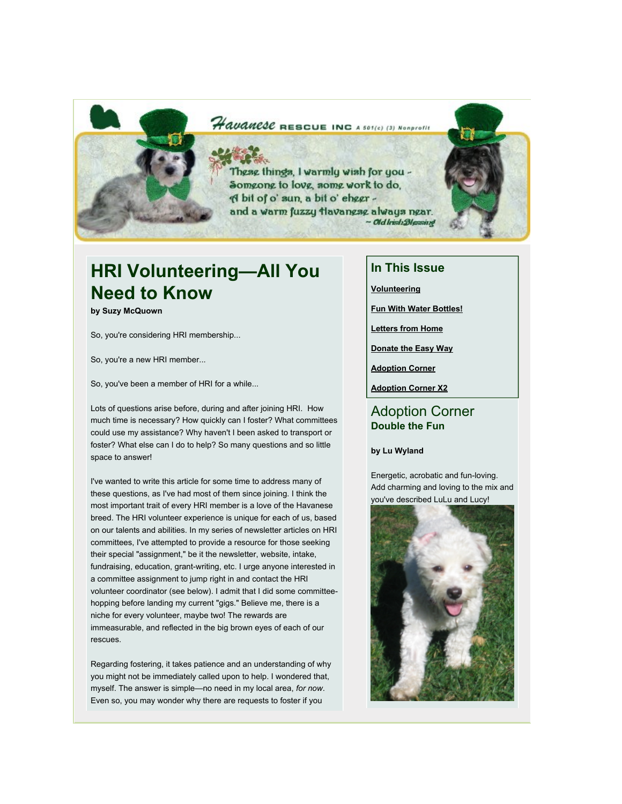### Havanese RESCUE INC A 501(c) (3) Nonprofit

These things, I warmly wish for you -Someone to love, some work to do, A bit of o' sun, a bit o' ehggr and a warm fuzzy tlavanese always near. ~ Old Irish Blessing

### **HRI Volunteering—All You Need to Know**

**by Suzy McQuown**

So, you're considering HRI membership...

So, you're a new HRI member...

So, you've been a member of HRI for a while...

Lots of questions arise before, during and after joining HRI. How much time is necessary? How quickly can I foster? What committees could use my assistance? Why haven't I been asked to transport or foster? What else can I do to help? So many questions and so little space to answer!

I've wanted to write this article for some time to address many of these questions, as I've had most of them since joining. I think the most important trait of every HRI member is a love of the Havanese breed. The HRI volunteer experience is unique for each of us, based on our talents and abilities. In my series of newsletter articles on HRI committees, I've attempted to provide a resource for those seeking their special "assignment," be it the newsletter, website, intake, fundraising, education, grant-writing, etc. I urge anyone interested in a committee assignment to jump right in and contact the HRI volunteer coordinator (see below). I admit that I did some committeehopping before landing my current "gigs." Believe me, there is a niche for every volunteer, maybe two! The rewards are immeasurable, and reflected in the big brown eyes of each of our rescues.

Regarding fostering, it takes patience and an understanding of why you might not be immediately called upon to help. I wondered that, myself. The answer is simple—no need in my local area, *for now*. Even so, you may wonder why there are requests to foster if you

### **In This Issue**

**[Volunteering](http://mail.google.com/mail/?ui=2&view=bsp&ver=1qygpcgurkovy#1200ea38a6e45d31_LETTER.BLOCK18)**

**[Fun With Water Bottles!](http://mail.google.com/mail/?ui=2&view=bsp&ver=1qygpcgurkovy#1200ea38a6e45d31_LETTER.BLOCK6)**

**[Letters from Home](http://mail.google.com/mail/?ui=2&view=bsp&ver=1qygpcgurkovy#1200ea38a6e45d31_LETTER.BLOCK5)**

**[Donate the Easy Way](http://mail.google.com/mail/?ui=2&view=bsp&ver=1qygpcgurkovy#1200ea38a6e45d31_LETTER.BLOCK4)**

**[Adoption Corner](http://mail.google.com/mail/?ui=2&view=bsp&ver=1qygpcgurkovy#1200ea38a6e45d31_LETTER.BLOCK9)**

**[Adoption Corner X2](http://mail.google.com/mail/?ui=2&view=bsp&ver=1qygpcgurkovy#1200ea38a6e45d31_LETTER.BLOCK10)**

#### Adoption Corner **Double the Fun**

#### **by Lu Wyland**

Energetic, acrobatic and fun-loving. Add charming and loving to the mix and you've described LuLu and Lucy!

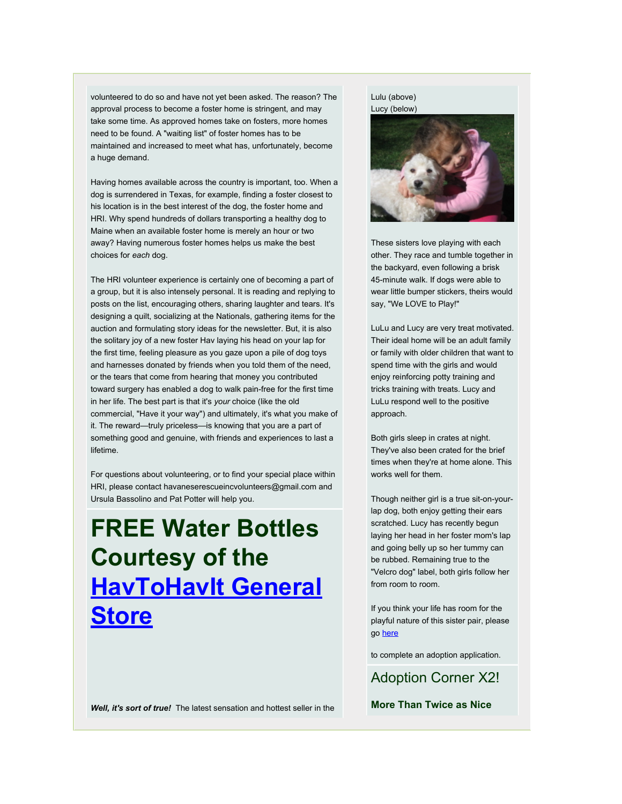volunteered to do so and have not yet been asked. The reason? The approval process to become a foster home is stringent, and may take some time. As approved homes take on fosters, more homes need to be found. A "waiting list" of foster homes has to be maintained and increased to meet what has, unfortunately, become a huge demand.

Having homes available across the country is important, too. When a dog is surrendered in Texas, for example, finding a foster closest to his location is in the best interest of the dog, the foster home and HRI. Why spend hundreds of dollars transporting a healthy dog to Maine when an available foster home is merely an hour or two away? Having numerous foster homes helps us make the best choices for *each* dog.

The HRI volunteer experience is certainly one of becoming a part of a group, but it is also intensely personal. It is reading and replying to posts on the list, encouraging others, sharing laughter and tears. It's designing a quilt, socializing at the Nationals, gathering items for the auction and formulating story ideas for the newsletter. But, it is also the solitary joy of a new foster Hav laying his head on your lap for the first time, feeling pleasure as you gaze upon a pile of dog toys and harnesses donated by friends when you told them of the need, or the tears that come from hearing that money you contributed toward surgery has enabled a dog to walk pain-free for the first time in her life. The best part is that it's *your* choice (like the old commercial, "Have it your way") and ultimately, it's what you make of it. The reward—truly priceless—is knowing that you are a part of something good and genuine, with friends and experiences to last a lifetime.

For questions about volunteering, or to find your special place within HRI, please contact havaneserescueincvolunteers@gmail.com and Ursula Bassolino and Pat Potter will help you.

# **FREE Water Bottles Courtesy of the [HavToHavIt General](http://rs6.net/tn.jsp?et=1102488929229&e=001k9l9yUAotcwkRNFjJLOv2cAgShcAUpplP1nK1_80rX2B9abZlY5RoFwyYjX5Tcjs-kq40ZyUEK0WpAUg1AXdDYEllIgEAZ5KK3ejpVBcS9JAgzIwTZugwQ==) [Store](http://rs6.net/tn.jsp?et=1102488929229&e=001k9l9yUAotcwkRNFjJLOv2cAgShcAUpplP1nK1_80rX2B9abZlY5RoFwyYjX5Tcjs-kq40ZyUEK0WpAUg1AXdDYEllIgEAZ5KK3ejpVBcS9JAgzIwTZugwQ==)**

### Lulu (above)

Lucy (below)



These sisters love playing with each other. They race and tumble together in the backyard, even following a brisk 45-minute walk. If dogs were able to wear little bumper stickers, theirs would say, "We LOVE to Play!"

LuLu and Lucy are very treat motivated. Their ideal home will be an adult family or family with older children that want to spend time with the girls and would enjoy reinforcing potty training and tricks training with treats. Lucy and LuLu respond well to the positive approach.

Both girls sleep in crates at night. They've also been crated for the brief times when they're at home alone. This works well for them.

Though neither girl is a true sit-on-yourlap dog, both enjoy getting their ears scratched. Lucy has recently begun laying her head in her foster mom's lap and going belly up so her tummy can be rubbed. Remaining true to the "Velcro dog" label, both girls follow her from room to room.

If you think your life has room for the playful nature of this sister pair, please go [here](http://rs6.net/tn.jsp?et=1102488929229&e=001k9l9yUAotcwM7vsuMQTh8uvvGnxmk7uNPXu1-pyLiDycnQy_7JFvzlT43slYaK42Ch2aC1v8KrtRn-TN4IDWBVSHHC1Rx-beWKpCv1aTy0C7nEUuRbFkTOtagf2ElznNc5BMfP2lgIGW4070SjGPP95-6Lg_Anc_-yxRlAsCCuBe0DAqwCa2GSl3tGtuHqljbGJnrgMvDrT0Q-7T7Sx0b4FVXj-h44Xy57LUiw8na_HJLl3jljFJ6zo9b8W8ngcYioySJoU06crzB5VqjvK8rRxTr934jXR97-qJfrcAgFc=)

to complete an adoption application.

Adoption Corner X2!

*Well, it's sort of true!* The latest sensation and hottest seller in the

**More Than Twice as Nice**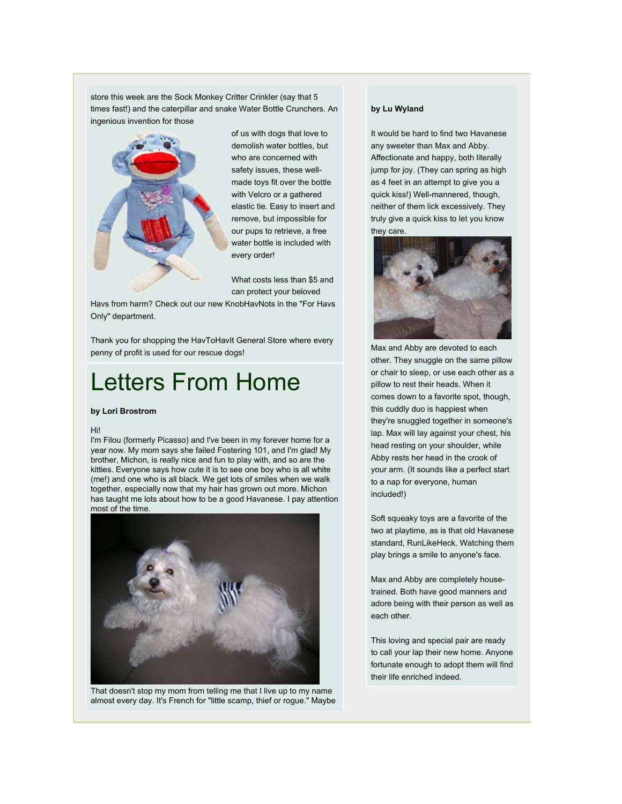store this week are the Sock Monkey Critter Crinkler (say that 5 times fast!) and the caterpillar and snake Water Bottle Crunchers. An ingenious invention for those



of us with dogs that love to demolish water bottles, but who are concerned with safety issues, these wellmade toys fit over the bottle with Velcro or a gathered elastic tie. Easy to insert and remove, but impossible for our pups to retrieve, a free water bottle is included with every order!

What costs less than \$5 and can protect your beloved

Havs from harm? Check out our new KnobHavNots in the "For Havs Only" department.

Thank you for shopping the HavToHavIt General Store where every penny of profit is used for our rescue dogs!

## Letters From Home

#### **by Lori Brostrom**

#### Hi!

I'm Filou (formerly Picasso) and I've been in my forever home for a year now. My mom says she failed Fostering 101, and I'm glad! My brother, Michon, is really nice and fun to play with, and so are the kitties. Everyone says how cute it is to see one boy who is all white (me!) and one who is all black. We get lots of smiles when we walk together, especially now that my hair has grown out more. Michon has taught me lots about how to be a good Havanese. I pay attention most of the time.



That doesn't stop my mom from telling me that I live up to my name almost every day. It's French for "little scamp, thief or rogue." Maybe

#### **by Lu Wyland**

It would be hard to find two Havanese any sweeter than Max and Abby. Affectionate and happy, both literally jump for joy. (They can spring as high as 4 feet in an attempt to give you a quick kiss!) Well-mannered, though, neither of them lick excessively. They truly give a quick kiss to let you know they care.



Max and Abby are devoted to each other. They snuggle on the same pillow or chair to sleep, or use each other as a pillow to rest their heads. When it comes down to a favorite spot, though, this cuddly duo is happiest when they're snuggled together in someone's lap. Max will lay against your chest, his head resting on your shoulder, while Abby rests her head in the crook of your arm. (It sounds like a perfect start to a nap for everyone, human included!)

Soft squeaky toys are a favorite of the two at playtime, as is that old Havanese standard, RunLikeHeck. Watching them play brings a smile to anyone's face.

Max and Abby are completely housetrained. Both have good manners and adore being with their person as well as each other.

This loving and special pair are ready to call your lap their new home. Anyone fortunate enough to adopt them will find their life enriched indeed.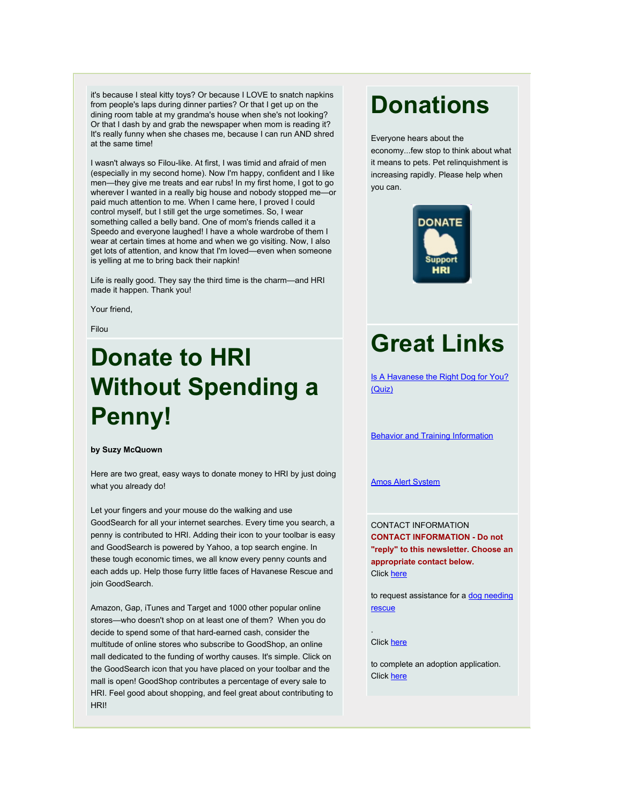it's because I steal kitty toys? Or because I LOVE to snatch napkins from people's laps during dinner parties? Or that I get up on the dining room table at my grandma's house when she's not looking? Or that I dash by and grab the newspaper when mom is reading it? It's really funny when she chases me, because I can run AND shred at the same time!

I wasn't always so Filou-like. At first, I was timid and afraid of men (especially in my second home). Now I'm happy, confident and I like men—they give me treats and ear rubs! In my first home, I got to go wherever I wanted in a really big house and nobody stopped me—or paid much attention to me. When I came here, I proved I could control myself, but I still get the urge sometimes. So, I wear something called a belly band. One of mom's friends called it a Speedo and everyone laughed! I have a whole wardrobe of them I wear at certain times at home and when we go visiting. Now, I also get lots of attention, and know that I'm loved—even when someone is yelling at me to bring back their napkin!

Life is really good. They say the third time is the charm—and HRI made it happen. Thank you!

Your friend,

Filou

# **Donate to HRI Without Spending a Penny!**

#### **by Suzy McQuown**

Here are two great, easy ways to donate money to HRI by just doing what you already do!

Let your fingers and your mouse do the walking and use GoodSearch for all your internet searches. Every time you search, a penny is contributed to HRI. Adding their icon to your toolbar is easy and GoodSearch is powered by Yahoo, a top search engine. In these tough economic times, we all know every penny counts and each adds up. Help those furry little faces of Havanese Rescue and join GoodSearch.

Amazon, Gap, iTunes and Target and 1000 other popular online stores—who doesn't shop on at least one of them? When you do decide to spend some of that hard-earned cash, consider the multitude of online stores who subscribe to GoodShop, an online mall dedicated to the funding of worthy causes. It's simple. Click on the GoodSearch icon that you have placed on your toolbar and the mall is open! GoodShop contributes a percentage of every sale to HRI. Feel good about shopping, and feel great about contributing to **HRI!** 

# **Donations**

Everyone hears about the economy...few stop to think about what it means to pets. Pet relinquishment is increasing rapidly. Please help when you can.



# **Great Links**

[Is A Havanese the Right Dog for You?](http://rs6.net/tn.jsp?et=1102488929229&e=001k9l9yUAotcxFTB5p0t4mPXI3TA-JOh-e8xM6yq-bh-f31mfAP3h6w2biOv9OOj4X5UkDvXViMoFyrCbfKmMC67uGcG2IllgKv1AvpTseQ25IssnD8k4sX1p8FO-yDFFA) [\(Quiz\)](http://rs6.net/tn.jsp?et=1102488929229&e=001k9l9yUAotcxFTB5p0t4mPXI3TA-JOh-e8xM6yq-bh-f31mfAP3h6w2biOv9OOj4X5UkDvXViMoFyrCbfKmMC67uGcG2IllgKv1AvpTseQ25IssnD8k4sX1p8FO-yDFFA)

[Behavior and Training Information](http://rs6.net/tn.jsp?et=1102488929229&e=001k9l9yUAotcyrNlFvonPCO9jUILE72QdUoneJX1-lc9ncNVzCSFsmExyeNoq3XbtJcdrd-LCytdgMUgtSzGuLthIznclOePxQss8OPENFqMO5EKA0Jyosu5W9aVLvlsUyMOw5NG_gkb9qUNk2ajxBVGConHREowzp21Kq1c7oZkiZ0q8tX4tqhIF4tnDYfc_w_LzmqKht3mZw8lefmhE4_Q==)

#### [Amos Alert System](http://rs6.net/tn.jsp?et=1102488929229&e=001k9l9yUAotcx-U4bWA-IbBMrHWuv_EpAhGcNr0u1Le5v478Vz1CVVP3uGSoCrIqdKwiZt_XxVC9mDHMVw_PidBZVy0ea24ldtrJK_kWiYfSmgsUohaYB3po5hZnTF4b8m1TKzvEEZRvb68Dg98pnLrYN8Zsx-qAzJwBqjW9Io42KW-2WK229tsdPzY51KsBOFITokFRNdhv6cMRV0gs9797_PxEIhLwpSc-_6GALBlR5jJNLpR6F9tVx_jSbc_A6qmg_t6wh8UMumI5MYD2v8gbu9WXbuLXYK_qqzIthwBCc=)

CONTACT INFORMATION **CONTACT INFORMATION - Do not "reply" to this newsletter. Choose an appropriate contact below.** Click [here](http://rs6.net/tn.jsp?et=1102488929229&e=001k9l9yUAotcw6YrGfEAkUn2TSFz2dNmMHvPKmWc6IZ4mTGLiaKEPEZ7M9ApvdCH52ErxPhTirzHpPqvRvryyuWuSZDFqqvCqxxCDD6mQatbFD-LDuWQG2D-1gNJojNPE8wzk83C84bqs=)

to request assistance for a [dog needing](http://rs6.net/tn.jsp?et=1102488929229&e=001k9l9yUAotcw6YrGfEAkUn2TSFz2dNmMHvPKmWc6IZ4mTGLiaKEPEZ7M9ApvdCH52ErxPhTirzHpPqvRvryyuWuSZDFqqvCqxxCDD6mQatbFD-LDuWQG2D-1gNJojNPE8wzk83C84bqs=) [rescue](http://rs6.net/tn.jsp?et=1102488929229&e=001k9l9yUAotcw6YrGfEAkUn2TSFz2dNmMHvPKmWc6IZ4mTGLiaKEPEZ7M9ApvdCH52ErxPhTirzHpPqvRvryyuWuSZDFqqvCqxxCDD6mQatbFD-LDuWQG2D-1gNJojNPE8wzk83C84bqs=)

#### Click [here](http://rs6.net/tn.jsp?et=1102488929229&e=001k9l9yUAotcyCs5Ae8Hfzfu2CN9YP13-fx9ZouXyqX1ZMoB2WWX7Tv8K4-Y1Ryge8MeFjIB6YOxHQGgmgLIHIBZ0I41dObAxOKjuBg0k-OuFeut0H2O7bAw5ORlOtnbHGwMyFL07GTqQ=)

.

to complete an adoption application. Click [here](http://rs6.net/tn.jsp?et=1102488929229&e=001k9l9yUAotcyjplDr0O7yKXOMdPZ4hki_NM0W6O2usls2niNK_xZZtBB2fCsmdrzoZL6HGo4A9kbHfkikEGVCDw2ZmZc_zLpbnrtSTkT8MPNF6p5OaLK_beYW-PohZbLC-P6Ay4Z8GUrPb22lH3Mfu7D1oEYFSlK55z_qFbhtiGQF-EwCgzY9x9_0s5r_s2_P)